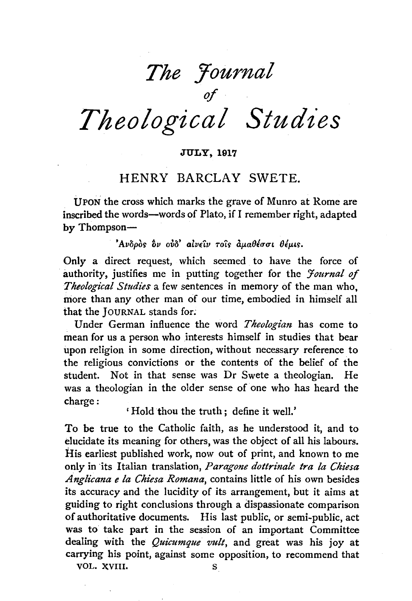# *The Yournal*  of *Theological Studies*

#### JULY, 1917

## HENRY BARCLAY SWETE.

UPON the cross which marks the grave of Munro at Rome are inscribed the words-words of Plato, if I remember right, adapted by Thompson-

'Aνδρός δν ούδ' αίνειν τοις αμαθέσσι θέμις.

Only a direct request, which seemed to have the force of authority, justifies me in putting together for the *Journal of Theological Studies* a few sentences in memory of the man who, more than any other man of our time, embodied in himself all that the JouRNAL stands for;

Under German influence the word *Theologian* has come to mean for us a person who interests himself in studies that bear upon religion in some direction, without necessary reference to the religious convictions or the contents of the belief of the student. Not in that sense was Dr Swete a theologian. He was a theologian in the older sense of one who has heard the charge:

' Hold thou the truth ; define it well.'

To be true to the Catholic faith, as he understood it, and to elucidate its meaning for others, was the object of all his labours. His earliest published work, now out of print, and known to me only in ·its Italian translation, *Paragone dottrinale tra la Chiesa Anglicana e la Chiesa Romana,* contains little of his own besides its accuracy and the lucidity of its arrangement, but it aims at guiding to right conclusions through a dispassionate comparison of authoritative documents. His last public, or semi-public, act was to take part in the session of an important Committee dealing with the *Quicumque vult,* and great was his joy at carrying his point, against some opposition, to recommend that

VOL. XVIII. S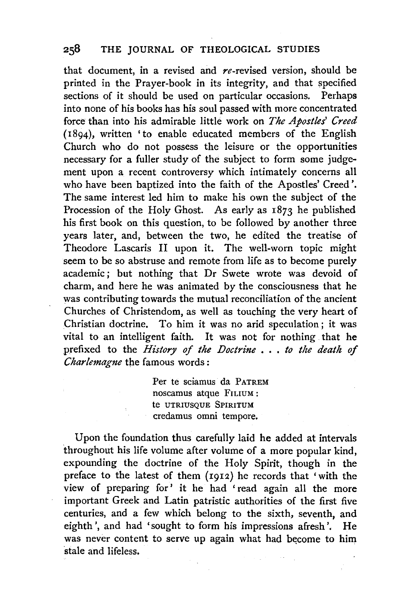## 258 THE JOURNAL OF THEOLOGICAL STUDIES

that document, in a revised and  $re$ -revised version, should be printed in the Prayer-book in its integrity, and that specified sections of it should be used on particular occasions. Perhaps into none of his books has his soul passed with more concentrated force than into his admirable little work on *The Apostles' Creed*  (1894), written 'to enable educated members of the English Church who do not possess the leisure or the opportunities necessary for a fuller study of the subject to form some judgement upon a recent controversy which intimately concerns all who have been baptized into the faith of the Apostles' Creed', The same interest led him to make his own the subject of the Procession of the Holy Ghost. As early as  $1873$  he published his first book on this question, to be followed by another three years later, and, between the two, he edited the treatise of Theodore Lascaris II upon it. The well-worn topic might seem to be so abstruse and remote from life as to become purely academic; but nothing that Dr Swete wrote was devoid of charm, and here he was animated by the consciousness that he was contributing towards the mutual reconciliation of the ancient Churches of Christendom, as well as touching the very heart of Christian doctrine. To him it was no arid speculation; it was vital to an intelligent faith. It was not for nothing that he prefixed to the *History of the Doctrine* • . . *to the death of Charlemagne* the famous words :

> Per te sciamus da PATREM noscamus atque FILIUM : te UTRIUSQUE SPIRITUM credamus omni tempore.

Upon the foundation thus carefully laid he added at intervals throughout his life volume after volume of a more popular kind, expounding the doctrine of the Holy Spirit, though in the preface to the latest of them (1912) he records that 'with the view of preparing for' it he had ' read again all the more important Greek and Latin patristic authorities of the first five centuries, and a few which belong to the sixth, seventh, and eighth', and had 'sought to form his impressions afresh', He was never content to serve up again what had become to him stale and lifeless.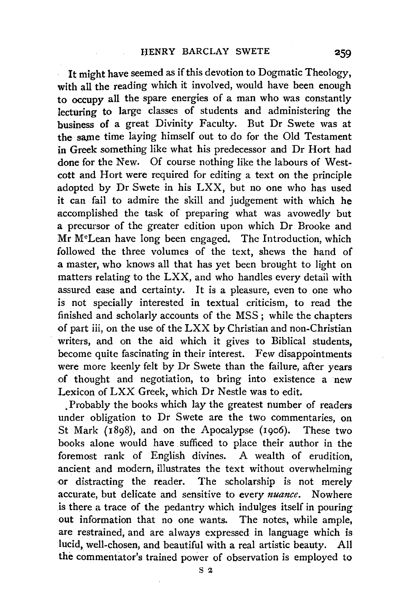It might have seemed as if this devotion to Dogmatic Theology, with all the reading which it involved, would have been enough to occupy all the spare energies of a man who was constantly lecturing to large classes of students and administering the business of a great Divinity Faculty. But Dr Swete was at the same time laying himself out to do for the Old Testament in Greek something like what his predecessor and Dr Hort had done for the New. Of course nothing like the labours of West· cott and Hort were required for editing a text on the principle adopted by Dr Swete in his LXX, but no one who has used it can fail to admire the skill and judgement with which he accomplished the task of preparing what was avowedly but a precursor of the greater edition upon which Dr Brooke and Mr M°Lean have long been engaged. The Introduction, which followed the three volumes of the text, shews the hand of a master, who knows all that has yet been brought to light on matters relating to the LXX, and who handles every detail with assured ease and certainty. It is a pleasure, even to one who is not specially interested in textual criticism, to read the finished and scholarly accounts of the MSS; while the chapters of part iii, on the use of the LXX by Christian and non.Christian writers, and on the aid which it gives to Biblical students, become quite fascinating in their interest. Few disappointments were more keenly felt by Dr Swete than the failure, after years of thought and negotiation, to bring into existence a new Lexicon of LXX Greek, which Dr Nestle was to edit.

. Probably the books which lay the greatest number of readers under obligation to Dr Swete are the two commentaries, on St Mark (1898), and on the Apocalypse (1906). These two books alone would have sufficed to place their author in the foremost rank of English divines. A wealth of erudition, ancient and modern, illustrates the text without overwhelming -or distracting the reader. The scholarship is not merely accurate, but delicate and sensitive to *every nuance.* Nowhere .is there a trace of the pedantry which indulges itself in pouring out information that no one wants. The notes, while ample, are restrained, and are always expressed in language which is lucid, well-chosen, and beautiful with a real artistic beauty. All the commentator's trained power of observation is employed to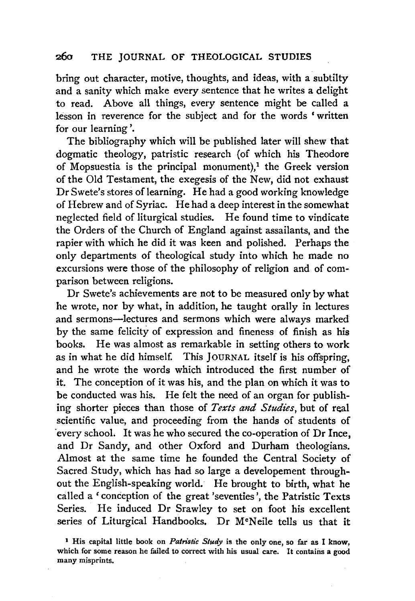### 260 THE JOURNAL OF THEOLOGICAL STUDIES

bring out character, motive, thoughts, and ideas, with a subtilty and a sanity which make every sentence that he writes a delight to read. Above all things, every sentence might be called a lesson in reverence for the subject and for the words ' written for our learning'.

The bibliography which will be published later will shew that dogmatic theology, patristic research (of which his Theodore of Mopsuestia is the principal monument),<sup>1</sup> the Greek version of the Old Testament, the exegesis of the New, did not exhaust Dr Swete's stores of learning. He had a good working knowledge of Hebrew and of Syriac. He had a deep interest in the somewhat neglected field of liturgical studies. He found time to vindicate the Orders of the Church of England against assailants, and the rapier with which he did it was keen and polished. Perhaps the only departments of theological study into which he made no excursions were those of the philosophy of religion and of comparison between religions.

Dr Swete's achievements are not to be measured only by what he wrote, nor by what, in addition, he taught orally in lectures and sermons-lectures and sermons which were always marked by the same felicity of expression and fineness of finish as his books. He was almost as remarkable in setting others to work as in what he did himself. This JOURNAL itself is his offspring, and he wrote the words which introduced the first number of it. The conception of it was his, and the plan on which it was to be conducted was his. He felt the need of an organ for publishing shorter pieces than those of *Texts and Studies*, but of real scientific value, and proceeding from the hands of students of ·every school. It was he who secured the co-operation of Dr Ince, and Dr Sandy, and other Oxford and Durham theologians. Almost at the same time he founded the Central Society of Sacred Study, which has had so large a developement throughout the English-speaking world. He brought to birth, what he called a 'conception of the great 'seventies', the Patristic Texts Series. He induced Dr Srawley to set on foot his excellent series of Liturgical Handbooks. Dr M°Neile tells us that it

<sup>1</sup> His capital little book on *Patristic Study* is the only one, so far as I know, which for some reason he failed to correct with his usual care. It contains a good many misprints.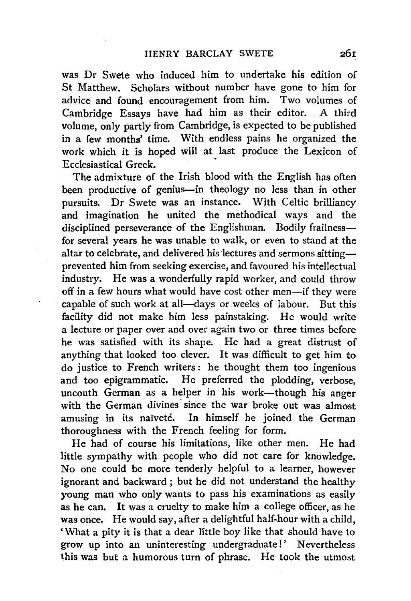was Dr Swete who induced him to undertake his edition of St Matthew. Scholars without number have gone to him for advice and found encouragement from him. Two volumes of Cambridge Essays have had him as their editor. A third volume, only partly from Cambridge, is expected to be published in a few months' time. With endless pains he organized the work which it is hoped will at last produce the Lexicon of Ecclesiastical Greek.

The admixture of the Irish blood with the English has often been productive of genius-in theology no less than in other pursuits; Dr Swete was an instance. With Celtic brilliancy and imagination he united the methodical ways and the disciplined perseverance of the Englishman. Bodily frailnessfor several years he was unable to walk, or even to stand at the altar to celebrate, and delivered his lectures and sermons sittingprevented him from seeking exercise, and favoured his intellectual industry. He was a wonderfully rapid worker, and could throw off in a few hours what would have cost other men-if they were capable of such work at all-days or weeks of labour. But this facility did not make him less painstaking. He would write a lecture or paper over and over again two or three times before he was satisfied with its shape. He had a great distrust of anything that looked too clever. It was difficult to get him to do justice to French writers: he thought them too ingenious and too epigrammatic. He preferred the plodding, verbose, uncouth German as a helper in his work-though his anger with the German divines since the war broke out was almost amusing in its naïveté. In himself he joined the German thoroughness with the French feeling for form.

He had of course his limitations, like other men. He had little sympathy with people who did not care for knowledge. No one could be more tenderly helpful to a learner, however ignorant and backward ; but he did not understand the healthy young man who only wants to pass his examinations as easily as he can. It was a cruelty to make him a college officer, as he was once. He would say, after a delightful half-hour with a child, 'What a pity it is that a dear little boy like that should have to grow up into an uninteresting undergraduate!' Nevertheless this was but a humorous turn of phrase. He took the utmost